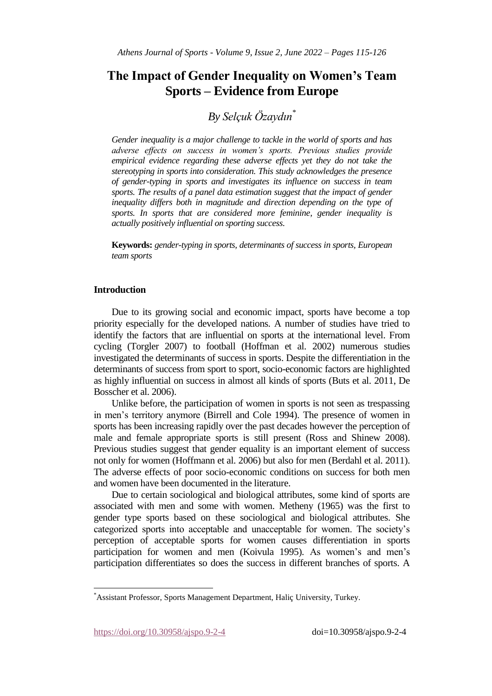# **The Impact of Gender Inequality on Women's Team Sports – Evidence from Europe**

# *By Selçuk Özaydın\**

*Gender inequality is a major challenge to tackle in the world of sports and has adverse effects on success in women's sports. Previous studies provide empirical evidence regarding these adverse effects yet they do not take the stereotyping in sports into consideration. This study acknowledges the presence of gender-typing in sports and investigates its influence on success in team sports. The results of a panel data estimation suggest that the impact of gender inequality differs both in magnitude and direction depending on the type of sports. In sports that are considered more feminine, gender inequality is actually positively influential on sporting success.*

**Keywords:** *gender-typing in sports, determinants of success in sports, European team sports*

# **Introduction**

Due to its growing social and economic impact, sports have become a top priority especially for the developed nations. A number of studies have tried to identify the factors that are influential on sports at the international level. From cycling (Torgler 2007) to football (Hoffman et al. 2002) numerous studies investigated the determinants of success in sports. Despite the differentiation in the determinants of success from sport to sport, socio-economic factors are highlighted as highly influential on success in almost all kinds of sports (Buts et al. 2011, De Bosscher et al. 2006).

Unlike before, the participation of women in sports is not seen as trespassing in men's territory anymore (Birrell and Cole 1994). The presence of women in sports has been increasing rapidly over the past decades however the perception of male and female appropriate sports is still present (Ross and Shinew 2008). Previous studies suggest that gender equality is an important element of success not only for women (Hoffmann et al. 2006) but also for men (Berdahl et al. 2011). The adverse effects of poor socio-economic conditions on success for both men and women have been documented in the literature.

Due to certain sociological and biological attributes, some kind of sports are associated with men and some with women. Metheny (1965) was the first to gender type sports based on these sociological and biological attributes. She categorized sports into acceptable and unacceptable for women. The society's perception of acceptable sports for women causes differentiation in sports participation for women and men (Koivula 1995). As women's and men's participation differentiates so does the success in different branches of sports. A

https://doi.org/10.30958/ajspo.9-2-4 doi=10.30958/ajspo.9-2-4

 $\overline{a}$ 

<sup>\*</sup>Assistant Professor, Sports Management Department, Haliç University, Turkey.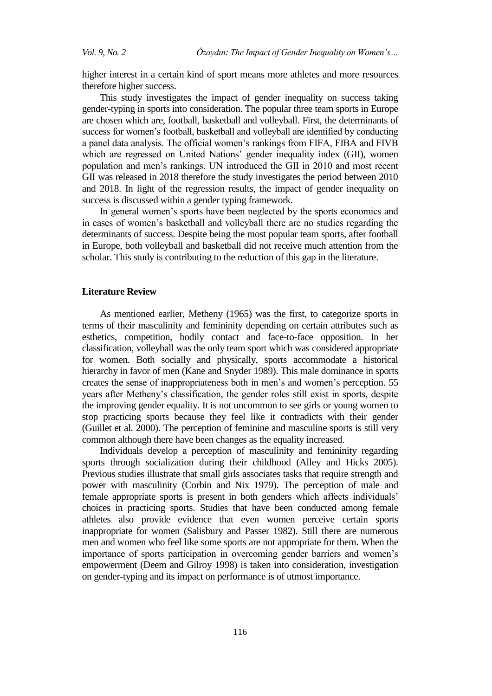higher interest in a certain kind of sport means more athletes and more resources therefore higher success.

This study investigates the impact of gender inequality on success taking gender-typing in sports into consideration. The popular three team sports in Europe are chosen which are, football, basketball and volleyball. First, the determinants of success for women's football, basketball and volleyball are identified by conducting a panel data analysis. The official women's rankings from FIFA, FIBA and FIVB which are regressed on United Nations' gender inequality index (GII), women population and men's rankings. UN introduced the GII in 2010 and most recent GII was released in 2018 therefore the study investigates the period between 2010 and 2018. In light of the regression results, the impact of gender inequality on success is discussed within a gender typing framework.

In general women's sports have been neglected by the sports economics and in cases of women's basketball and volleyball there are no studies regarding the determinants of success. Despite being the most popular team sports, after football in Europe, both volleyball and basketball did not receive much attention from the scholar. This study is contributing to the reduction of this gap in the literature.

### **Literature Review**

As mentioned earlier, Metheny (1965) was the first, to categorize sports in terms of their masculinity and femininity depending on certain attributes such as esthetics, competition, bodily contact and face-to-face opposition. In her classification, volleyball was the only team sport which was considered appropriate for women. Both socially and physically, sports accommodate a historical hierarchy in favor of men (Kane and Snyder 1989). This male dominance in sports creates the sense of inappropriateness both in men's and women's perception. 55 years after Metheny's classification, the gender roles still exist in sports, despite the improving gender equality. It is not uncommon to see girls or young women to stop practicing sports because they feel like it contradicts with their gender (Guillet et al. 2000). The perception of feminine and masculine sports is still very common although there have been changes as the equality increased.

Individuals develop a perception of masculinity and femininity regarding sports through socialization during their childhood (Alley and Hicks 2005). Previous studies illustrate that small girls associates tasks that require strength and power with masculinity (Corbin and Nix 1979). The perception of male and female appropriate sports is present in both genders which affects individuals' choices in practicing sports. Studies that have been conducted among female athletes also provide evidence that even women perceive certain sports inappropriate for women (Salisbury and Passer 1982). Still there are numerous men and women who feel like some sports are not appropriate for them. When the importance of sports participation in overcoming gender barriers and women's empowerment (Deem and Gilroy 1998) is taken into consideration, investigation on gender-typing and its impact on performance is of utmost importance.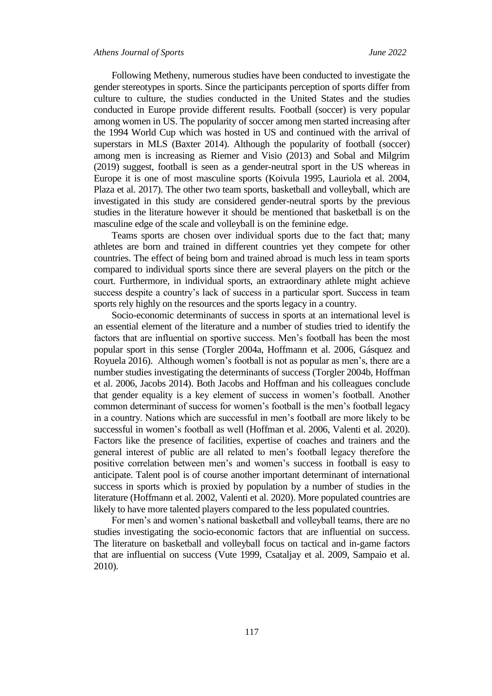Following Metheny, numerous studies have been conducted to investigate the gender stereotypes in sports. Since the participants perception of sports differ from culture to culture, the studies conducted in the United States and the studies conducted in Europe provide different results. Football (soccer) is very popular among women in US. The popularity of soccer among men started increasing after the 1994 World Cup which was hosted in US and continued with the arrival of superstars in MLS (Baxter 2014). Although the popularity of football (soccer) among men is increasing as Riemer and Visio (2013) and Sobal and Milgrim (2019) suggest, football is seen as a gender-neutral sport in the US whereas in Europe it is one of most masculine sports (Koivula 1995, Lauriola et al. 2004, Plaza et al. 2017). The other two team sports, basketball and volleyball, which are investigated in this study are considered gender-neutral sports by the previous studies in the literature however it should be mentioned that basketball is on the masculine edge of the scale and volleyball is on the feminine edge.

Teams sports are chosen over individual sports due to the fact that; many athletes are born and trained in different countries yet they compete for other countries. The effect of being born and trained abroad is much less in team sports compared to individual sports since there are several players on the pitch or the court. Furthermore, in individual sports, an extraordinary athlete might achieve success despite a country's lack of success in a particular sport. Success in team sports rely highly on the resources and the sports legacy in a country.

Socio-economic determinants of success in sports at an international level is an essential element of the literature and a number of studies tried to identify the factors that are influential on sportive success. Men's football has been the most popular sport in this sense (Torgler 2004a, Hoffmann et al. 2006, Gásquez and Royuela 2016). Although women's football is not as popular as men's, there are a number studies investigating the determinants of success (Torgler 2004b, Hoffman et al. 2006, Jacobs 2014). Both Jacobs and Hoffman and his colleagues conclude that gender equality is a key element of success in women's football. Another common determinant of success for women's football is the men's football legacy in a country. Nations which are successful in men's football are more likely to be successful in women's football as well (Hoffman et al. 2006, Valenti et al. 2020). Factors like the presence of facilities, expertise of coaches and trainers and the general interest of public are all related to men's football legacy therefore the positive correlation between men's and women's success in football is easy to anticipate. Talent pool is of course another important determinant of international success in sports which is proxied by population by a number of studies in the literature (Hoffmann et al. 2002, Valenti et al. 2020). More populated countries are likely to have more talented players compared to the less populated countries.

For men's and women's national basketball and volleyball teams, there are no studies investigating the socio-economic factors that are influential on success. The literature on basketball and volleyball focus on tactical and in-game factors that are influential on success (Vute 1999, Csataljay et al. 2009, Sampaio et al. 2010).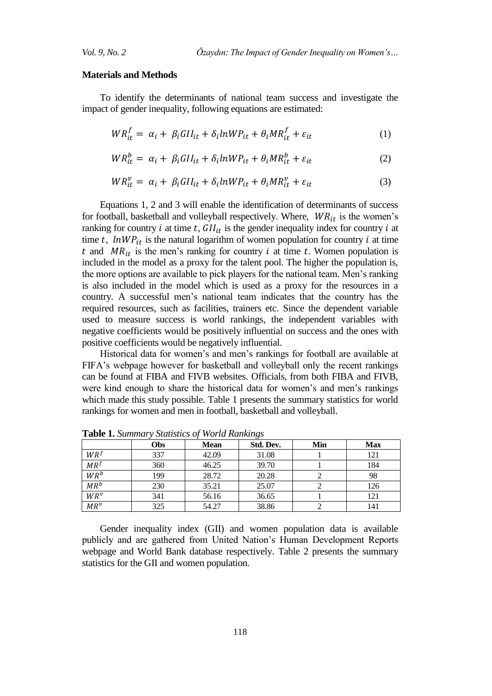#### **Materials and Methods**

To identify the determinants of national team success and investigate the impact of gender inequality, following equations are estimated:

$$
WR_{it}^{f} = \alpha_i + \beta_i GII_{it} + \delta_i lnWP_{it} + \theta_i MR_{it}^{f} + \varepsilon_{it}
$$
 (1)

$$
WR_{it}^{b} = \alpha_{i} + \beta_{i} GII_{it} + \delta_{i} lnWP_{it} + \theta_{i} MR_{it}^{b} + \varepsilon_{it}
$$
 (2)

$$
WR_{it}^{\nu} = \alpha_i + \beta_i G II_{it} + \delta_i lnWP_{it} + \theta_i MR_{it}^{\nu} + \varepsilon_{it}
$$
\n(3)

Equations 1, 2 and 3 will enable the identification of determinants of success for football, basketball and volleyball respectively. Where,  $WR_{it}$  is the women's ranking for country i at time t,  $GI_{it}$  is the gender inequality index for country i at time t,  $lnWP_{it}$  is the natural logarithm of women population for country i at time t and  $MR_{it}$  is the men's ranking for country i at time t. Women population is included in the model as a proxy for the talent pool. The higher the population is, the more options are available to pick players for the national team. Men's ranking is also included in the model which is used as a proxy for the resources in a country. A successful men's national team indicates that the country has the required resources, such as facilities, trainers etc. Since the dependent variable used to measure success is world rankings, the independent variables with negative coefficients would be positively influential on success and the ones with positive coefficients would be negatively influential.

Historical data for women's and men's rankings for football are available at FIFA's webpage however for basketball and volleyball only the recent rankings can be found at FIBA and FIVB websites. Officials, from both FIBA and FIVB, were kind enough to share the historical data for women's and men's rankings which made this study possible. Table 1 presents the summary statistics for world rankings for women and men in football, basketball and volleyball.

|                 | <b>Obs</b> | <b>Mean</b> | Std. Dev. | Min | <b>Max</b> |
|-----------------|------------|-------------|-----------|-----|------------|
| $WR^{f}$        | 337        | 42.09       | 31.08     |     | 121        |
| MR <sup>f</sup> | 360        | 46.25       | 39.70     |     | 184        |
| $WR^b$          | 199        | 28.72       | 20.28     |     | 98         |
| $MR^b$          | 230        | 35.21       | 25.07     |     | 126        |
| $WR^v$          | 341        | 56.16       | 36.65     |     | 121        |
| $MR^v$          | 325        | 54.27       | 38.86     |     | 141        |

**Table 1.** *Summary Statistics of World Rankings*

Gender inequality index (GII) and women population data is available publicly and are gathered from United Nation's Human Development Reports webpage and World Bank database respectively. Table 2 presents the summary statistics for the GII and women population.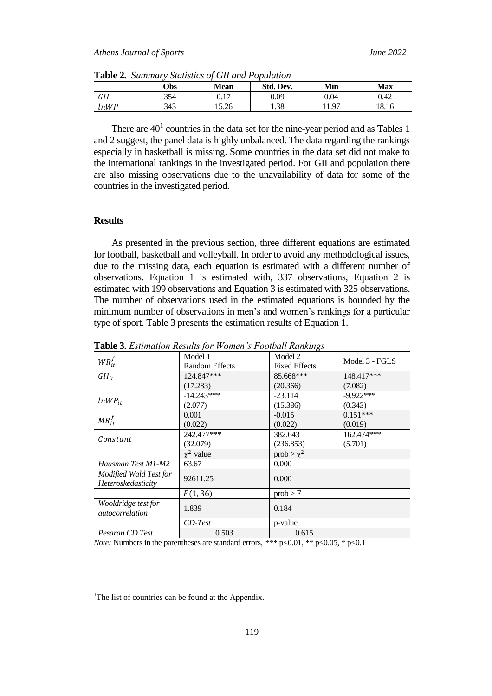|      | <b>Obs</b> | Mean  | Std. Dev. | Min   | Max   |
|------|------------|-------|-----------|-------|-------|
| GII  | 354        | 0.17  | 0.09      | 0.04  | 0.42  |
| lnWP | 343        | 15.26 | 1.38      | 11.97 | 18.16 |

**Table 2.** *Summary Statistics of GII and Population*

There are  $40<sup>1</sup>$  countries in the data set for the nine-year period and as Tables 1 and 2 suggest, the panel data is highly unbalanced. The data regarding the rankings especially in basketball is missing. Some countries in the data set did not make to the international rankings in the investigated period. For GII and population there are also missing observations due to the unavailability of data for some of the countries in the investigated period.

## **Results**

As presented in the previous section, three different equations are estimated for football, basketball and volleyball. In order to avoid any methodological issues, due to the missing data, each equation is estimated with a different number of observations. Equation 1 is estimated with, 337 observations, Equation 2 is estimated with 199 observations and Equation 3 is estimated with 325 observations. The number of observations used in the estimated equations is bounded by the minimum number of observations in men's and women's rankings for a particular type of sport. Table 3 presents the estimation results of Equation 1.

| $WR_{it}^f$                            | Model 1<br>Random Effects | Model 2<br><b>Fixed Effects</b> | Model 3 - FGLS |
|----------------------------------------|---------------------------|---------------------------------|----------------|
| $GII_{it}$                             | 124.847***                | 85.668***                       | 148.417***     |
|                                        | (17.283)                  | (20.366)                        | (7.082)        |
|                                        | $-14.243***$              | $-23.114$                       | $-9.922***$    |
| $lnWP_{it}$                            | (2.077)                   | (15.386)                        | (0.343)        |
|                                        | 0.001                     | $-0.015$                        | $0.151***$     |
| $MR_{it}^f$                            | (0.022)                   | (0.022)                         | (0.019)        |
|                                        | 242.477***                | 382.643                         | 162.474***     |
| Constant                               | (32.079)                  | (236.853)                       | (5.701)        |
|                                        | $\chi^2$ value            | prob $> \chi^2$                 |                |
| Hausman Test M1-M2                     | 63.67                     | 0.000                           |                |
| Modified Wald Test for                 | 92611.25                  | 0.000                           |                |
| Heteroskedasticity                     |                           |                                 |                |
|                                        | F(1, 36)                  | prob > F                        |                |
| Wooldridge test for<br>autocorrelation | 1.839                     | 0.184                           |                |
|                                        | $CD-Test$                 | p-value                         |                |
| Pesaran CD Test                        | 0.503                     | 0.615                           |                |

**Table 3.** *Estimation Results for Women's Football Rankings*

*Note:* Numbers in the parentheses are standard errors, \*\*\*  $p<0.01$ , \*\*  $p<0.05$ , \*  $p<0.1$ 

 $\overline{a}$ 

<sup>&</sup>lt;sup>1</sup>The list of countries can be found at the Appendix.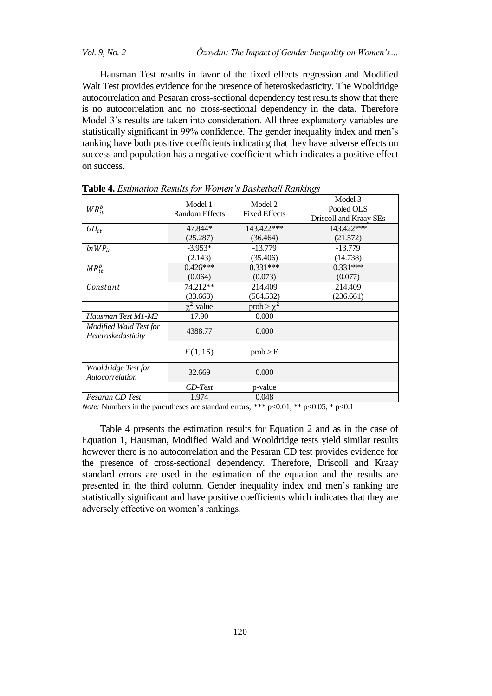*Vol. 9, No. 2 Özaydın: The Impact of Gender Inequality on Women's…*

Hausman Test results in favor of the fixed effects regression and Modified Walt Test provides evidence for the presence of heteroskedasticity. The Wooldridge autocorrelation and Pesaran cross-sectional dependency test results show that there is no autocorrelation and no cross-sectional dependency in the data. Therefore Model 3's results are taken into consideration. All three explanatory variables are statistically significant in 99% confidence. The gender inequality index and men's ranking have both positive coefficients indicating that they have adverse effects on success and population has a negative coefficient which indicates a positive effect on success.

| $WR_{it}^b$                                  | Model 1<br><b>Random Effects</b> | Model 2<br><b>Fixed Effects</b> | Model 3<br>Pooled OLS<br>Driscoll and Kraay SEs |
|----------------------------------------------|----------------------------------|---------------------------------|-------------------------------------------------|
| $GII_{it}$                                   | 47.844*                          | 143.422***                      | 143.422***                                      |
|                                              | (25.287)                         | (36.464)                        | (21.572)                                        |
| $lnWP_{it}$                                  | $-3.953*$                        | $-13.779$                       | $-13.779$                                       |
|                                              | (2.143)                          | (35.406)                        | (14.738)                                        |
| $MR_{it}^b$                                  | $0.426***$                       | $0.331***$                      | $0.331***$                                      |
|                                              | (0.064)                          | (0.073)                         | (0.077)                                         |
| Constant                                     | 74.212**                         | 214.409                         | 214.409                                         |
|                                              | (33.663)                         | (564.532)                       | (236.661)                                       |
|                                              | $\chi^2$ value                   | $prob > \chi^2$                 |                                                 |
| Hausman Test M1-M2                           | 17.90                            | 0.000                           |                                                 |
| Modified Wald Test for<br>Heteroskedasticity | 4388.77                          | 0.000                           |                                                 |
|                                              | F(1, 15)                         | prob > F                        |                                                 |
| Wooldridge Test for<br>Autocorrelation       | 32.669                           | 0.000                           |                                                 |
|                                              | $CD-Test$                        | p-value                         |                                                 |
| Pesaran CD Test                              | 1.974                            | 0.048                           |                                                 |

**Table 4.** *Estimation Results for Women's Basketball Rankings*

*Note:* Numbers in the parentheses are standard errors, \*\*\*  $p<0.01$ , \*\*  $p<0.05$ , \*  $p<0.1$ 

Table 4 presents the estimation results for Equation 2 and as in the case of Equation 1, Hausman, Modified Wald and Wooldridge tests yield similar results however there is no autocorrelation and the Pesaran CD test provides evidence for the presence of cross-sectional dependency. Therefore, Driscoll and Kraay standard errors are used in the estimation of the equation and the results are presented in the third column. Gender inequality index and men's ranking are statistically significant and have positive coefficients which indicates that they are adversely effective on women's rankings.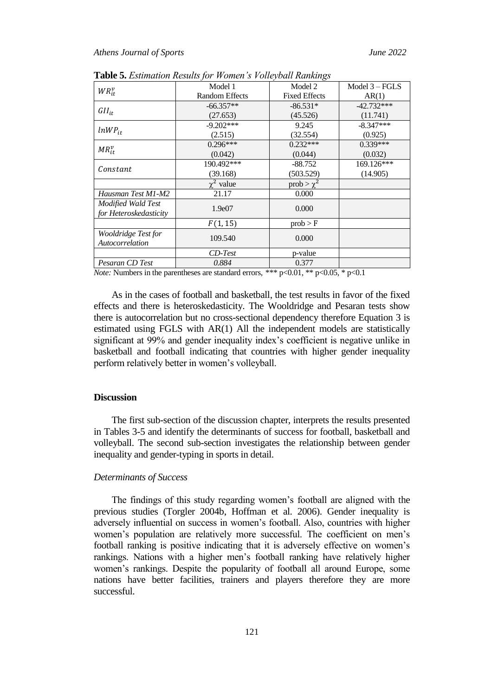| $WR_{it}^v$            | Model 1               | Model 2              | Model $3 - FGLS$ |
|------------------------|-----------------------|----------------------|------------------|
|                        | <b>Random Effects</b> | <b>Fixed Effects</b> | AR(1)            |
|                        | $-66.357**$           | $-86.531*$           | $-42.732***$     |
| $GII_{it}$             | (27.653)              | (45.526)             | (11.741)         |
|                        | $-9.202***$           | 9.245                | $-8.347***$      |
| $lnWP_{it}$            | (2.515)               | (32.554)             | (0.925)          |
|                        | $0.296***$            | $0.232***$           | $0.339***$       |
| $MR_{it}^v$            | (0.042)               | (0.044)              | (0.032)          |
|                        | 190.492***            | $-88.752$            | 169.126***       |
| Constant               | (39.168)              | (503.529)            | (14.905)         |
|                        | $\chi^2$ value        | prob $> \chi^2$      |                  |
| Hausman Test M1-M2     | 21.17                 | 0.000                |                  |
| Modified Wald Test     | 1.9e07                | 0.000                |                  |
| for Heteroskedasticity |                       |                      |                  |
|                        | F(1, 15)              | prob > F             |                  |
| Wooldridge Test for    | 109.540               | 0.000                |                  |
| Autocorrelation        |                       |                      |                  |
|                        | $CD-Test$             | p-value              |                  |
| Pesaran CD Test        | 0.884                 | 0.377                |                  |

**Table 5.** *Estimation Results for Women's Volleyball Rankings*

*Note:* Numbers in the parentheses are standard errors, \*\*\*  $p<0.01$ , \*\*  $p<0.05$ , \*  $p<0.1$ 

As in the cases of football and basketball, the test results in favor of the fixed effects and there is heteroskedasticity. The Wooldridge and Pesaran tests show there is autocorrelation but no cross-sectional dependency therefore Equation 3 is estimated using FGLS with AR(1) All the independent models are statistically significant at 99% and gender inequality index's coefficient is negative unlike in basketball and football indicating that countries with higher gender inequality perform relatively better in women's volleyball.

# **Discussion**

The first sub-section of the discussion chapter, interprets the results presented in Tables 3-5 and identify the determinants of success for football, basketball and volleyball. The second sub-section investigates the relationship between gender inequality and gender-typing in sports in detail.

#### *Determinants of Success*

The findings of this study regarding women's football are aligned with the previous studies (Torgler 2004b, Hoffman et al. 2006). Gender inequality is adversely influential on success in women's football. Also, countries with higher women's population are relatively more successful. The coefficient on men's football ranking is positive indicating that it is adversely effective on women's rankings. Nations with a higher men's football ranking have relatively higher women's rankings. Despite the popularity of football all around Europe, some nations have better facilities, trainers and players therefore they are more successful.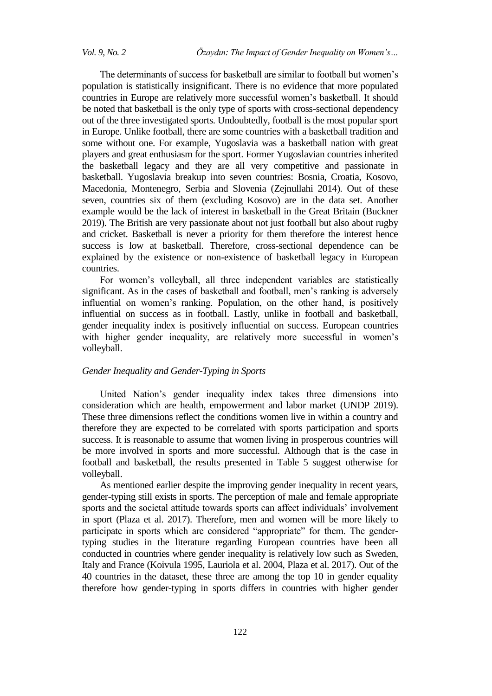The determinants of success for basketball are similar to football but women's population is statistically insignificant. There is no evidence that more populated countries in Europe are relatively more successful women's basketball. It should be noted that basketball is the only type of sports with cross-sectional dependency out of the three investigated sports. Undoubtedly, football is the most popular sport in Europe. Unlike football, there are some countries with a basketball tradition and some without one. For example, Yugoslavia was a basketball nation with great players and great enthusiasm for the sport. Former Yugoslavian countries inherited the basketball legacy and they are all very competitive and passionate in basketball. Yugoslavia breakup into seven countries: Bosnia, Croatia, Kosovo, Macedonia, Montenegro, Serbia and Slovenia (Zejnullahi 2014). Out of these seven, countries six of them (excluding Kosovo) are in the data set. Another example would be the lack of interest in basketball in the Great Britain (Buckner 2019). The British are very passionate about not just football but also about rugby and cricket. Basketball is never a priority for them therefore the interest hence success is low at basketball. Therefore, cross-sectional dependence can be explained by the existence or non-existence of basketball legacy in European countries.

For women's volleyball, all three independent variables are statistically significant. As in the cases of basketball and football, men's ranking is adversely influential on women's ranking. Population, on the other hand, is positively influential on success as in football. Lastly, unlike in football and basketball, gender inequality index is positively influential on success. European countries with higher gender inequality, are relatively more successful in women's volleyball.

## *Gender Inequality and Gender-Typing in Sports*

United Nation's gender inequality index takes three dimensions into consideration which are health, empowerment and labor market (UNDP 2019). These three dimensions reflect the conditions women live in within a country and therefore they are expected to be correlated with sports participation and sports success. It is reasonable to assume that women living in prosperous countries will be more involved in sports and more successful. Although that is the case in football and basketball, the results presented in Table 5 suggest otherwise for volleyball.

As mentioned earlier despite the improving gender inequality in recent years, gender-typing still exists in sports. The perception of male and female appropriate sports and the societal attitude towards sports can affect individuals' involvement in sport (Plaza et al. 2017). Therefore, men and women will be more likely to participate in sports which are considered "appropriate" for them. The gendertyping studies in the literature regarding European countries have been all conducted in countries where gender inequality is relatively low such as Sweden, Italy and France (Koivula 1995, Lauriola et al. 2004, Plaza et al. 2017). Out of the 40 countries in the dataset, these three are among the top 10 in gender equality therefore how gender-typing in sports differs in countries with higher gender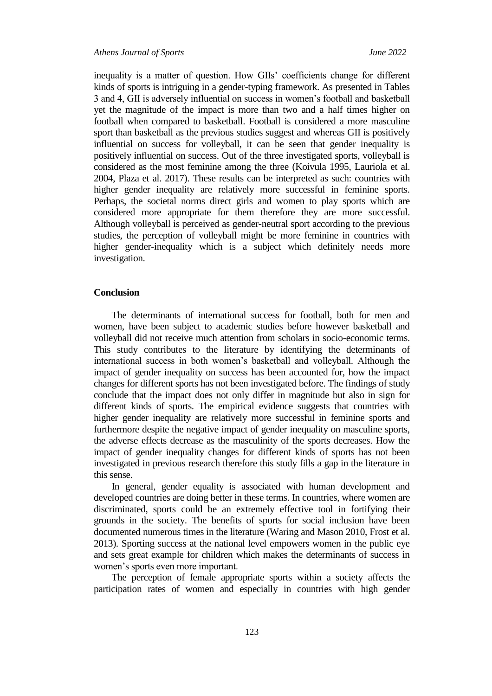inequality is a matter of question. How GIIs' coefficients change for different kinds of sports is intriguing in a gender-typing framework. As presented in Tables 3 and 4, GII is adversely influential on success in women's football and basketball yet the magnitude of the impact is more than two and a half times higher on football when compared to basketball. Football is considered a more masculine sport than basketball as the previous studies suggest and whereas GII is positively influential on success for volleyball, it can be seen that gender inequality is positively influential on success. Out of the three investigated sports, volleyball is considered as the most feminine among the three (Koivula 1995, Lauriola et al. 2004, Plaza et al. 2017). These results can be interpreted as such: countries with higher gender inequality are relatively more successful in feminine sports. Perhaps, the societal norms direct girls and women to play sports which are considered more appropriate for them therefore they are more successful. Although volleyball is perceived as gender-neutral sport according to the previous studies, the perception of volleyball might be more feminine in countries with higher gender-inequality which is a subject which definitely needs more investigation.

### **Conclusion**

The determinants of international success for football, both for men and women, have been subject to academic studies before however basketball and volleyball did not receive much attention from scholars in socio-economic terms. This study contributes to the literature by identifying the determinants of international success in both women's basketball and volleyball. Although the impact of gender inequality on success has been accounted for, how the impact changes for different sports has not been investigated before. The findings of study conclude that the impact does not only differ in magnitude but also in sign for different kinds of sports. The empirical evidence suggests that countries with higher gender inequality are relatively more successful in feminine sports and furthermore despite the negative impact of gender inequality on masculine sports, the adverse effects decrease as the masculinity of the sports decreases. How the impact of gender inequality changes for different kinds of sports has not been investigated in previous research therefore this study fills a gap in the literature in this sense.

In general, gender equality is associated with human development and developed countries are doing better in these terms. In countries, where women are discriminated, sports could be an extremely effective tool in fortifying their grounds in the society. The benefits of sports for social inclusion have been documented numerous times in the literature (Waring and Mason 2010, Frost et al. 2013). Sporting success at the national level empowers women in the public eye and sets great example for children which makes the determinants of success in women's sports even more important.

The perception of female appropriate sports within a society affects the participation rates of women and especially in countries with high gender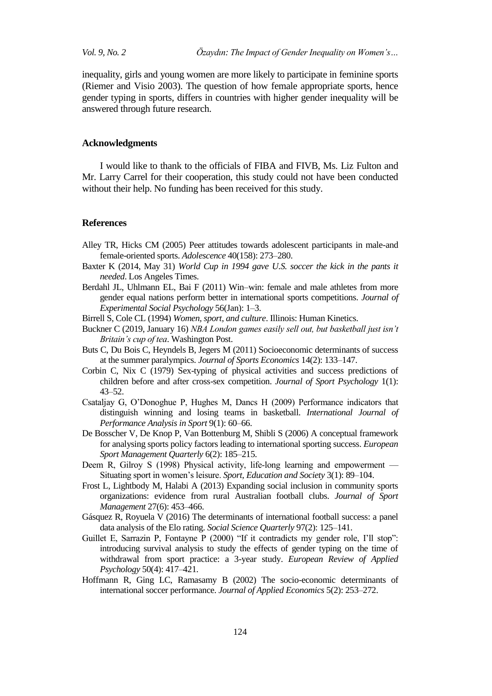*Vol. 9, No. 2 Özaydın: The Impact of Gender Inequality on Women's…*

inequality, girls and young women are more likely to participate in feminine sports (Riemer and Visio 2003). The question of how female appropriate sports, hence gender typing in sports, differs in countries with higher gender inequality will be answered through future research.

### **Acknowledgments**

I would like to thank to the officials of FIBA and FIVB, Ms. Liz Fulton and Mr. Larry Carrel for their cooperation, this study could not have been conducted without their help. No funding has been received for this study.

## **References**

- Alley TR, Hicks CM (2005) Peer attitudes towards adolescent participants in male-and female-oriented sports. *Adolescence* 40(158): 273*–*280.
- Baxter K (2014, May 31) *World Cup in 1994 gave U.S. soccer the kick in the pants it needed*. Los Angeles Times.
- Berdahl JL, Uhlmann EL, Bai F (2011) Win–win: female and male athletes from more gender equal nations perform better in international sports competitions. *Journal of Experimental Social Psychology* 56(Jan): 1–3.
- Birrell S, Cole CL (1994) *Women, sport, and culture*. Illinois: Human Kinetics.
- Buckner C (2019, January 16) *NBA London games easily sell out, but basketball just isn't Britain's cup of tea*. Washington Post.
- Buts C, Du Bois C, Heyndels B, Jegers M (2011) Socioeconomic determinants of success at the summer paralympics. *Journal of Sports Economics* 14(2): 133–147.
- Corbin C, Nix C (1979) Sex-typing of physical activities and success predictions of children before and after cross-sex competition. *Journal of Sport Psychology* 1(1): 43*–*52.
- Csataljay G, O'Donoghue P, Hughes M, Dancs H (2009) Performance indicators that distinguish winning and losing teams in basketball. *International Journal of Performance Analysis in Sport* 9(1): 60–66.
- De Bosscher V, De Knop P, Van Bottenburg M, Shibli S (2006) A conceptual framework for analysing sports policy factors leading to international sporting success. *European Sport Management Quarterly* 6(2): 185–215.
- Deem R, Gilroy S (1998) Physical activity, life-long learning and empowerment Situating sport in women's leisure. *Sport, Education and Society* 3(1): 89–104.
- Frost L, Lightbody M, Halabi A (2013) Expanding social inclusion in community sports organizations: evidence from rural Australian football clubs. *Journal of Sport Management* 27(6): 453–466.
- Gásquez R, Royuela V (2016) The determinants of international football success: a panel data analysis of the Elo rating. *Social Science Quarterly* 97(2): 125–141.
- Guillet E, Sarrazin P, Fontayne P  $(2000)$  "If it contradicts my gender role, I'll stop": introducing survival analysis to study the effects of gender typing on the time of withdrawal from sport practice: a 3-year study. *European Review of Applied Psychology* 50(4): 417–421.
- Hoffmann R, Ging LC, Ramasamy B (2002) The socio-economic determinants of international soccer performance. *Journal of Applied Economics* 5(2): 253–272.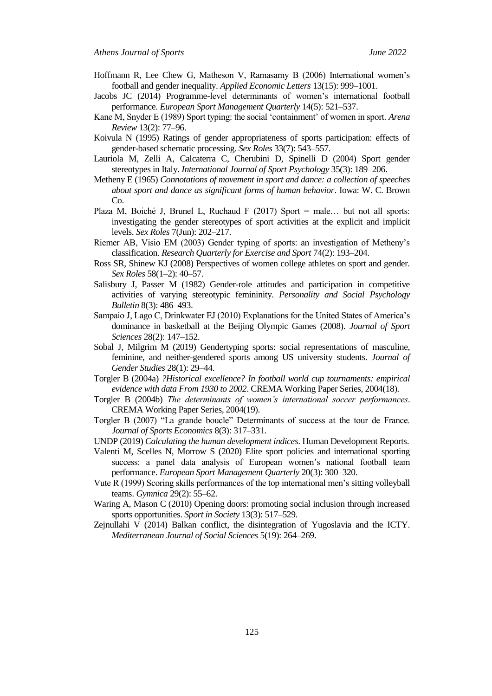- Hoffmann R, Lee Chew G, Matheson V, Ramasamy B (2006) International women's football and gender inequality. *Applied Economic Letters* 13(15): 999–1001.
- Jacobs JC (2014) Programme-level determinants of women's international football performance. *European Sport Management Quarterly* 14(5): 521–537.
- Kane M, Snyder E (1989) Sport typing: the social 'containment' of women in sport. *Arena Review* 13(2): 77–96.
- Koivula N (1995) Ratings of gender appropriateness of sports participation: effects of gender-based schematic processing. *Sex Roles* 33(7): 543–557.
- Lauriola M, Zelli A, Calcaterra C, Cherubini D, Spinelli D (2004) Sport gender stereotypes in Italy. *International Journal of Sport Psychology* 35(3): 189–206.
- Metheny E (1965) *Connotations of movement in sport and dance: a collection of speeches about sport and dance as significant forms of human behavior*. Iowa: W. C. Brown Co.
- Plaza M, Boiché J, Brunel L, Ruchaud F (2017) Sport = male... but not all sports: investigating the gender stereotypes of sport activities at the explicit and implicit levels. *Sex Roles* 7(Jun): 202–217.
- Riemer AB, Visio EM (2003) Gender typing of sports: an investigation of Metheny's classification. *Research Quarterly for Exercise and Sport* 74(2): 193–204.
- Ross SR, Shinew KJ (2008) Perspectives of women college athletes on sport and gender. *Sex Roles* 58(1–2): 40–57.
- Salisbury J, Passer M (1982) Gender-role attitudes and participation in competitive activities of varying stereotypic femininity. *Personality and Social Psychology Bulletin* 8(3): 486*–*493.
- Sampaio J, Lago C, Drinkwater EJ (2010) Explanations for the United States of America's dominance in basketball at the Beijing Olympic Games (2008). *Journal of Sport Sciences* 28(2): 147–152.
- Sobal J, Milgrim M (2019) Gendertyping sports: social representations of masculine, feminine, and neither-gendered sports among US university students. *Journal of Gender Studies* 28(1): 29–44.
- Torgler B (2004a) *?Historical excellence? In football world cup tournaments: empirical evidence with data From 1930 to 2002*. CREMA Working Paper Series, 2004(18).
- Torgler B (2004b) *The determinants of women's international soccer performances*. CREMA Working Paper Series, 2004(19).
- Torgler B (2007) "La grande boucle" Determinants of success at the tour de France. *Journal of Sports Economics* 8(3): 317–331.
- UNDP (2019) *Calculating the human development indices*. Human Development Reports.
- Valenti M, Scelles N, Morrow S (2020) Elite sport policies and international sporting success: a panel data analysis of European women's national football team performance. *European Sport Management Quarterly* 20(3): 300–320.
- Vute R (1999) Scoring skills performances of the top international men's sitting volleyball teams. *Gymnica* 29(2): 55–62.
- Waring A, Mason C (2010) Opening doors: promoting social inclusion through increased sports opportunities. *Sport in Society* 13(3): 517–529.
- Zejnullahi V (2014) Balkan conflict, the disintegration of Yugoslavia and the ICTY. *Mediterranean Journal of Social Sciences* 5(19): 264–269.